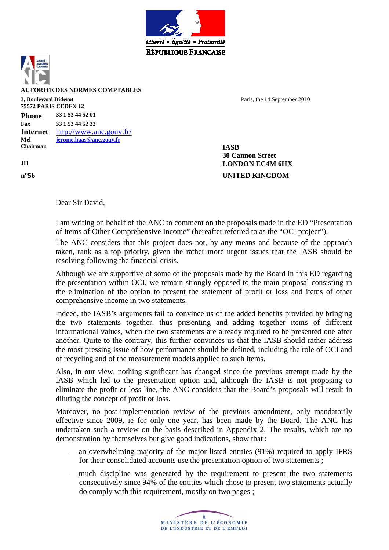



**AUTORITE DES NORMES COMPTABLES** 

#### **3, Boulevard Diderot 75572 PARIS CEDEX 12**

**Phone 33 1 53 44 52 01 Fax 33 1 53 44 52 33 Internet** http://www.anc.gouv.fr/ **Mel jerome.haas@anc.gouv.fr Chairman IASB** 

Paris, the 14 September 2010

**30 Cannon Street JH LONDON EC4M 6HX n°56 UNITED KINGDOM**

Dear Sir David,

I am writing on behalf of the ANC to comment on the proposals made in the ED "Presentation of Items of Other Comprehensive Income" (hereafter referred to as the "OCI project").

The ANC considers that this project does not, by any means and because of the approach taken, rank as a top priority, given the rather more urgent issues that the IASB should be resolving following the financial crisis.

Although we are supportive of some of the proposals made by the Board in this ED regarding the presentation within OCI, we remain strongly opposed to the main proposal consisting in the elimination of the option to present the statement of profit or loss and items of other comprehensive income in two statements.

Indeed, the IASB's arguments fail to convince us of the added benefits provided by bringing the two statements together, thus presenting and adding together items of different informational values, when the two statements are already required to be presented one after another. Quite to the contrary, this further convinces us that the IASB should rather address the most pressing issue of how performance should be defined, including the role of OCI and of recycling and of the measurement models applied to such items.

Also, in our view, nothing significant has changed since the previous attempt made by the IASB which led to the presentation option and, although the IASB is not proposing to eliminate the profit or loss line, the ANC considers that the Board's proposals will result in diluting the concept of profit or loss.

Moreover, no post-implementation review of the previous amendment, only mandatorily effective since 2009, ie for only one year, has been made by the Board. The ANC has undertaken such a review on the basis described in Appendix 2. The results, which are no demonstration by themselves but give good indications, show that :

- an overwhelming majority of the major listed entities (91%) required to apply IFRS for their consolidated accounts use the presentation option of two statements ;
- much discipline was generated by the requirement to present the two statements consecutively since 94% of the entities which chose to present two statements actually do comply with this requirement, mostly on two pages ;

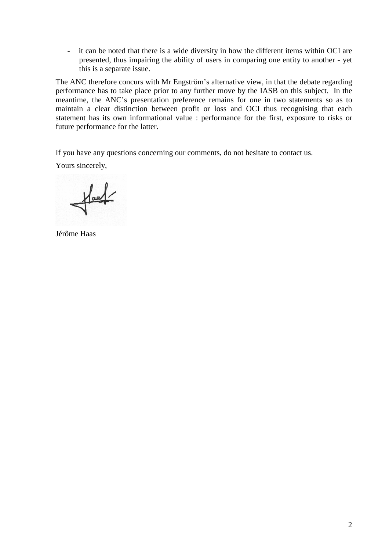- it can be noted that there is a wide diversity in how the different items within OCI are presented, thus impairing the ability of users in comparing one entity to another - yet this is a separate issue.

The ANC therefore concurs with Mr Engström's alternative view, in that the debate regarding performance has to take place prior to any further move by the IASB on this subject. In the meantime, the ANC's presentation preference remains for one in two statements so as to maintain a clear distinction between profit or loss and OCI thus recognising that each statement has its own informational value : performance for the first, exposure to risks or future performance for the latter.

If you have any questions concerning our comments, do not hesitate to contact us.

Yours sincerely,

 $\frac{1}{\sqrt{2}}$ 

Jérôme Haas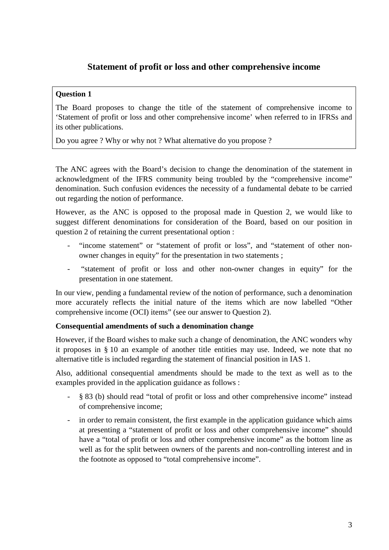# **Statement of profit or loss and other comprehensive income**

### **Question 1**

The Board proposes to change the title of the statement of comprehensive income to 'Statement of profit or loss and other comprehensive income' when referred to in IFRSs and its other publications.

Do you agree ? Why or why not ? What alternative do you propose ?

The ANC agrees with the Board's decision to change the denomination of the statement in acknowledgment of the IFRS community being troubled by the "comprehensive income" denomination. Such confusion evidences the necessity of a fundamental debate to be carried out regarding the notion of performance.

However, as the ANC is opposed to the proposal made in Question 2, we would like to suggest different denominations for consideration of the Board, based on our position in question 2 of retaining the current presentational option :

- "income statement" or "statement of profit or loss", and "statement of other nonowner changes in equity" for the presentation in two statements ;
- "statement of profit or loss and other non-owner changes in equity" for the presentation in one statement.

In our view, pending a fundamental review of the notion of performance, such a denomination more accurately reflects the initial nature of the items which are now labelled "Other comprehensive income (OCI) items" (see our answer to Question 2).

#### **Consequential amendments of such a denomination change**

However, if the Board wishes to make such a change of denomination, the ANC wonders why it proposes in § 10 an example of another title entities may use. Indeed, we note that no alternative title is included regarding the statement of financial position in IAS 1.

Also, additional consequential amendments should be made to the text as well as to the examples provided in the application guidance as follows :

- § 83 (b) should read "total of profit or loss and other comprehensive income" instead of comprehensive income;
- in order to remain consistent, the first example in the application guidance which aims at presenting a "statement of profit or loss and other comprehensive income" should have a "total of profit or loss and other comprehensive income" as the bottom line as well as for the split between owners of the parents and non-controlling interest and in the footnote as opposed to "total comprehensive income".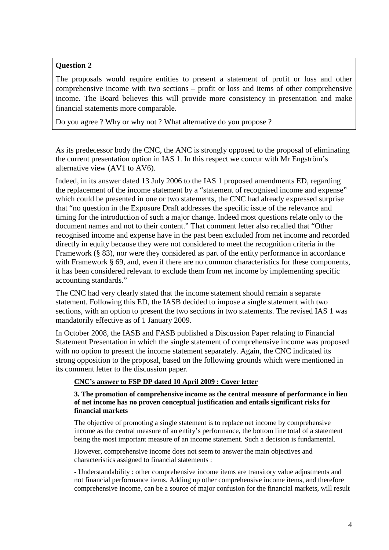## **Question 2**

The proposals would require entities to present a statement of profit or loss and other comprehensive income with two sections – profit or loss and items of other comprehensive income. The Board believes this will provide more consistency in presentation and make financial statements more comparable.

Do you agree ? Why or why not ? What alternative do you propose ?

As its predecessor body the CNC, the ANC is strongly opposed to the proposal of eliminating the current presentation option in IAS 1. In this respect we concur with Mr Engström's alternative view (AV1 to AV6).

Indeed, in its answer dated 13 July 2006 to the IAS 1 proposed amendments ED, regarding the replacement of the income statement by a "statement of recognised income and expense" which could be presented in one or two statements, the CNC had already expressed surprise that "no question in the Exposure Draft addresses the specific issue of the relevance and timing for the introduction of such a major change. Indeed most questions relate only to the document names and not to their content." That comment letter also recalled that "Other recognised income and expense have in the past been excluded from net income and recorded directly in equity because they were not considered to meet the recognition criteria in the Framework (§ 83), nor were they considered as part of the entity performance in accordance with Framework § 69, and, even if there are no common characteristics for these components, it has been considered relevant to exclude them from net income by implementing specific accounting standards."

The CNC had very clearly stated that the income statement should remain a separate statement. Following this ED, the IASB decided to impose a single statement with two sections, with an option to present the two sections in two statements. The revised IAS 1 was mandatorily effective as of 1 January 2009.

In October 2008, the IASB and FASB published a Discussion Paper relating to Financial Statement Presentation in which the single statement of comprehensive income was proposed with no option to present the income statement separately. Again, the CNC indicated its strong opposition to the proposal, based on the following grounds which were mentioned in its comment letter to the discussion paper.

## **CNC's answer to FSP DP dated 10 April 2009 : Cover letter**

#### **3. The promotion of comprehensive income as the central measure of performance in lieu of net income has no proven conceptual justification and entails significant risks for financial markets**

The objective of promoting a single statement is to replace net income by comprehensive income as the central measure of an entity's performance, the bottom line total of a statement being the most important measure of an income statement. Such a decision is fundamental.

However, comprehensive income does not seem to answer the main objectives and characteristics assigned to financial statements :

- Understandability : other comprehensive income items are transitory value adjustments and not financial performance items. Adding up other comprehensive income items, and therefore comprehensive income, can be a source of major confusion for the financial markets, will result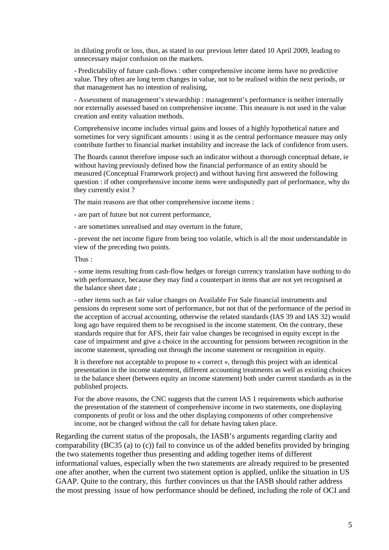in diluting profit or loss, thus, as stated in our previous letter dated 10 April 2009, leading to unnecessary major confusion on the markets.

- Predictability of future cash-flows : other comprehensive income items have no predictive value. They often are long term changes in value, not to be realised within the next periods, or that management has no intention of realising,

- Assessment of management's stewardship : management's performance is neither internally nor externally assessed based on comprehensive income. This measure is not used in the value creation and entity valuation methods.

Comprehensive income includes virtual gains and losses of a highly hypothetical nature and sometimes for very significant amounts : using it as the central performance measure may only contribute further to financial market instability and increase the lack of confidence from users.

The Boards cannot therefore impose such an indicator without a thorough conceptual debate, ie without having previously defined how the financial performance of an entity should be measured (Conceptual Framework project) and without having first answered the following question : if other comprehensive income items were undisputedly part of performance, why do they currently exist ?

The main reasons are that other comprehensive income items :

- are part of future but not current performance,

- are sometimes unrealised and may overturn in the future,

- prevent the net income figure from being too volatile, which is all the most understandable in view of the preceding two points.

Thus :

- some items resulting from cash-flow hedges or foreign currency translation have nothing to do with performance, because they may find a counterpart in items that are not yet recognised at the balance sheet date ;

- other items such as fair value changes on Available For Sale financial instruments and pensions do represent some sort of performance, but not that of the performance of the period in the acception of accrual accounting, otherwise the related standards (IAS 39 and IAS 32) would long ago have required them to be recognised in the income statement. On the contrary, these standards require that for AFS, their fair value changes be recognised in equity except in the case of impairment and give a choice in the accounting for pensions between recognition in the income statement, spreading out through the income statement or recognition in equity.

It is therefore not acceptable to propose to « correct », through this project with an identical presentation in the income statement, different accounting treatments as well as existing choices in the balance sheet (between equity an income statement) both under current standards as in the published projects.

For the above reasons, the CNC suggests that the current IAS 1 requirements which authorise the presentation of the statement of comprehensive income in two statements, one displaying components of profit or loss and the other displaying components of other comprehensive income, not be changed without the call for debate having taken place.

Regarding the current status of the proposals, the IASB's arguments regarding clarity and comparability (BC35 (a) to (c)) fail to convince us of the added benefits provided by bringing the two statements together thus presenting and adding together items of different informational values, especially when the two statements are already required to be presented one after another, when the current two statement option is applied, unlike the situation in US GAAP. Quite to the contrary, this further convinces us that the IASB should rather address the most pressing issue of how performance should be defined, including the role of OCI and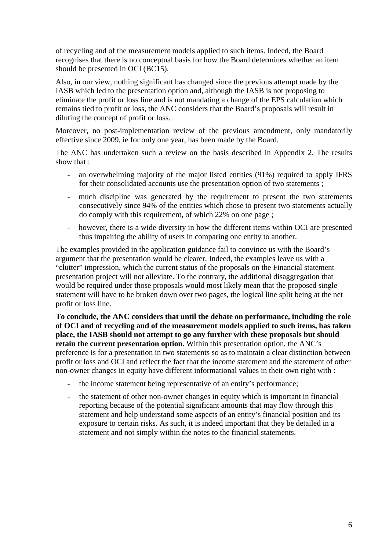of recycling and of the measurement models applied to such items. Indeed, the Board recognises that there is no conceptual basis for how the Board determines whether an item should be presented in OCI (BC15).

Also, in our view, nothing significant has changed since the previous attempt made by the IASB which led to the presentation option and, although the IASB is not proposing to eliminate the profit or loss line and is not mandating a change of the EPS calculation which remains tied to profit or loss, the ANC considers that the Board's proposals will result in diluting the concept of profit or loss.

Moreover, no post-implementation review of the previous amendment, only mandatorily effective since 2009, ie for only one year, has been made by the Board.

The ANC has undertaken such a review on the basis described in Appendix 2. The results show that :

- an overwhelming majority of the major listed entities (91%) required to apply IFRS for their consolidated accounts use the presentation option of two statements ;
- much discipline was generated by the requirement to present the two statements consecutively since 94% of the entities which chose to present two statements actually do comply with this requirement, of which 22% on one page ;
- however, there is a wide diversity in how the different items within OCI are presented thus impairing the ability of users in comparing one entity to another.

The examples provided in the application guidance fail to convince us with the Board's argument that the presentation would be clearer. Indeed, the examples leave us with a "clutter" impression, which the current status of the proposals on the Financial statement presentation project will not alleviate. To the contrary, the additional disaggregation that would be required under those proposals would most likely mean that the proposed single statement will have to be broken down over two pages, the logical line split being at the net profit or loss line.

**To conclude, the ANC considers that until the debate on performance, including the role of OCI and of recycling and of the measurement models applied to such items, has taken place, the IASB should not attempt to go any further with these proposals but should retain the current presentation option.** Within this presentation option, the ANC's preference is for a presentation in two statements so as to maintain a clear distinction between profit or loss and OCI and reflect the fact that the income statement and the statement of other non-owner changes in equity have different informational values in their own right with :

- the income statement being representative of an entity's performance;
- the statement of other non-owner changes in equity which is important in financial reporting because of the potential significant amounts that may flow through this statement and help understand some aspects of an entity's financial position and its exposure to certain risks. As such, it is indeed important that they be detailed in a statement and not simply within the notes to the financial statements.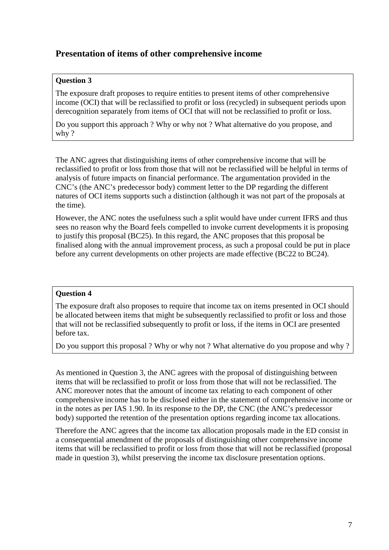# **Presentation of items of other comprehensive income**

### **Question 3**

The exposure draft proposes to require entities to present items of other comprehensive income (OCI) that will be reclassified to profit or loss (recycled) in subsequent periods upon derecognition separately from items of OCI that will not be reclassified to profit or loss.

Do you support this approach ? Why or why not ? What alternative do you propose, and why ?

The ANC agrees that distinguishing items of other comprehensive income that will be reclassified to profit or loss from those that will not be reclassified will be helpful in terms of analysis of future impacts on financial performance. The argumentation provided in the CNC's (the ANC's predecessor body) comment letter to the DP regarding the different natures of OCI items supports such a distinction (although it was not part of the proposals at the time).

However, the ANC notes the usefulness such a split would have under current IFRS and thus sees no reason why the Board feels compelled to invoke current developments it is proposing to justify this proposal (BC25). In this regard, the ANC proposes that this proposal be finalised along with the annual improvement process, as such a proposal could be put in place before any current developments on other projects are made effective (BC22 to BC24).

#### **Question 4**

The exposure draft also proposes to require that income tax on items presented in OCI should be allocated between items that might be subsequently reclassified to profit or loss and those that will not be reclassified subsequently to profit or loss, if the items in OCI are presented before tax.

Do you support this proposal ? Why or why not ? What alternative do you propose and why ?

As mentioned in Question 3, the ANC agrees with the proposal of distinguishing between items that will be reclassified to profit or loss from those that will not be reclassified. The ANC moreover notes that the amount of income tax relating to each component of other comprehensive income has to be disclosed either in the statement of comprehensive income or in the notes as per IAS 1.90. In its response to the DP, the CNC (the ANC's predecessor body) supported the retention of the presentation options regarding income tax allocations.

Therefore the ANC agrees that the income tax allocation proposals made in the ED consist in a consequential amendment of the proposals of distinguishing other comprehensive income items that will be reclassified to profit or loss from those that will not be reclassified (proposal made in question 3), whilst preserving the income tax disclosure presentation options.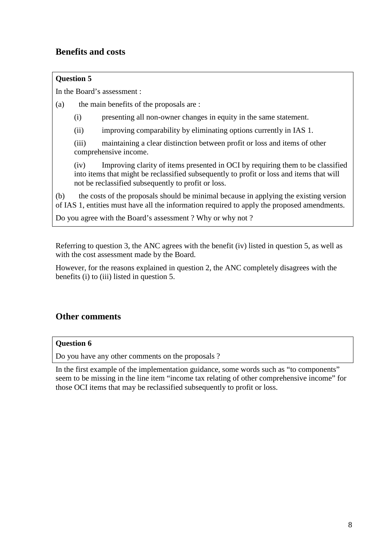# **Benefits and costs**

# **Question 5**

In the Board's assessment :

(a) the main benefits of the proposals are :

- (i) presenting all non-owner changes in equity in the same statement.
- (ii) improving comparability by eliminating options currently in IAS 1.

(iii) maintaining a clear distinction between profit or loss and items of other comprehensive income.

(iv) Improving clarity of items presented in OCI by requiring them to be classified into items that might be reclassified subsequently to profit or loss and items that will not be reclassified subsequently to profit or loss.

(b) the costs of the proposals should be minimal because in applying the existing version of IAS 1, entities must have all the information required to apply the proposed amendments.

Do you agree with the Board's assessment ? Why or why not ?

Referring to question 3, the ANC agrees with the benefit (iv) listed in question 5, as well as with the cost assessment made by the Board.

However, for the reasons explained in question 2, the ANC completely disagrees with the benefits (i) to (iii) listed in question 5.

# **Other comments**

## **Question 6**

Do you have any other comments on the proposals ?

In the first example of the implementation guidance, some words such as "to components" seem to be missing in the line item "income tax relating of other comprehensive income" for those OCI items that may be reclassified subsequently to profit or loss.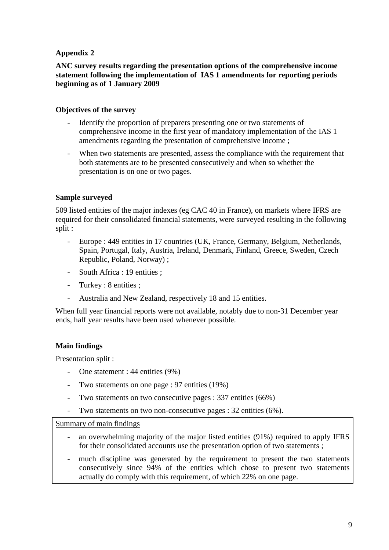## **Appendix 2**

## **ANC survey results regarding the presentation options of the comprehensive income statement following the implementation of IAS 1 amendments for reporting periods beginning as of 1 January 2009**

### **Objectives of the survey**

- Identify the proportion of preparers presenting one or two statements of comprehensive income in the first year of mandatory implementation of the IAS 1 amendments regarding the presentation of comprehensive income ;
- When two statements are presented, assess the compliance with the requirement that both statements are to be presented consecutively and when so whether the presentation is on one or two pages.

### **Sample surveyed**

509 listed entities of the major indexes (eg CAC 40 in France), on markets where IFRS are required for their consolidated financial statements, were surveyed resulting in the following split :

- Europe : 449 entities in 17 countries (UK, France, Germany, Belgium, Netherlands, Spain, Portugal, Italy, Austria, Ireland, Denmark, Finland, Greece, Sweden, Czech Republic, Poland, Norway) ;
- South Africa : 19 entities ;
- Turkey : 8 entities ;
- Australia and New Zealand, respectively 18 and 15 entities.

When full year financial reports were not available, notably due to non-31 December year ends, half year results have been used whenever possible.

## **Main findings**

Presentation split :

- One statement : 44 entities (9%)
- Two statements on one page : 97 entities (19%)
- Two statements on two consecutive pages : 337 entities (66%)
- Two statements on two non-consecutive pages : 32 entities (6%).

#### Summary of main findings

- an overwhelming majority of the major listed entities (91%) required to apply IFRS for their consolidated accounts use the presentation option of two statements ;
- much discipline was generated by the requirement to present the two statements consecutively since 94% of the entities which chose to present two statements actually do comply with this requirement, of which 22% on one page.